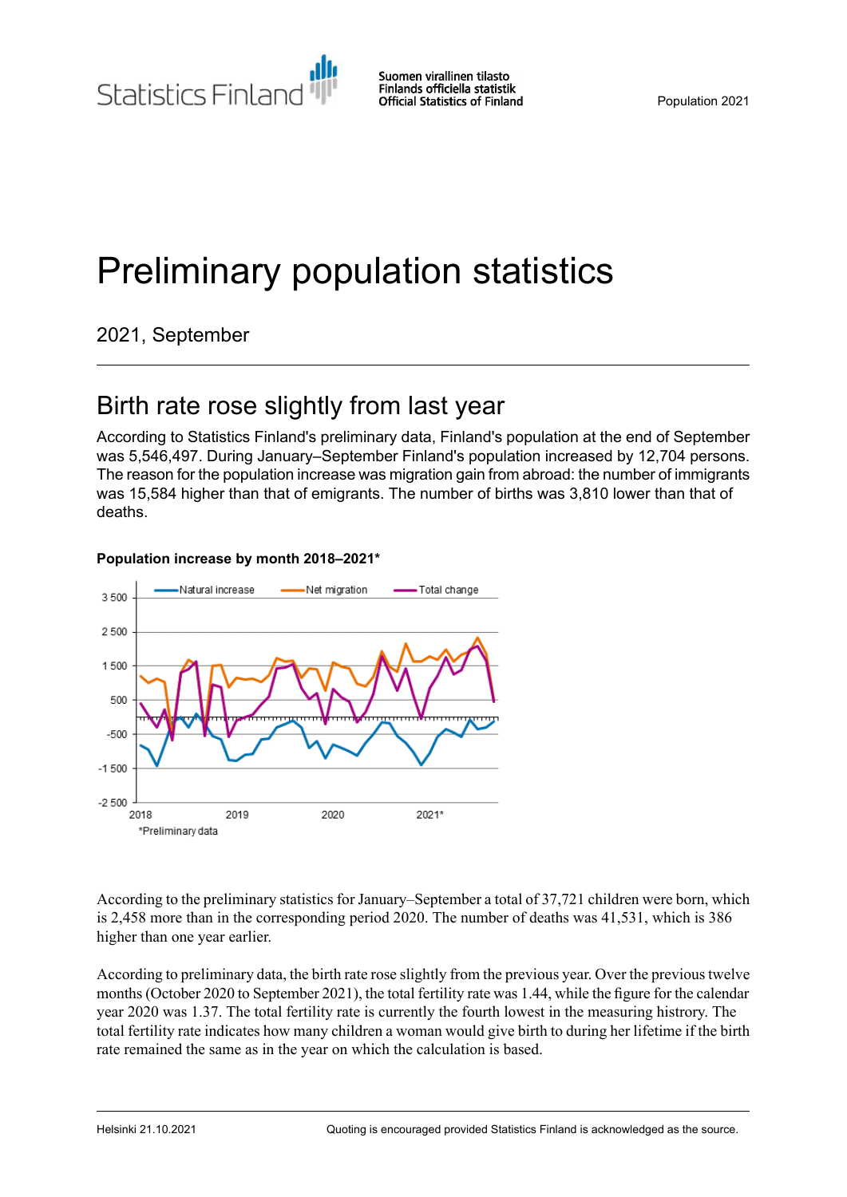Statistics Finland

# Preliminary population statistics

2021, September

# Birth rate rose slightly from last year

According to Statistics Finland's preliminary data, Finland's population at the end of September was 5,546,497. During January–September Finland's population increased by 12,704 persons. The reason for the population increase was migration gain from abroad: the number of immigrants was 15,584 higher than that of emigrants. The number of births was 3,810 lower than that of deaths.

### **Population increase by month 2018–2021\***



According to the preliminary statistics for January–September a total of 37,721 children were born, which is 2,458 more than in the corresponding period 2020. The number of deaths was 41,531, which is 386 higher than one year earlier.

According to preliminary data, the birth rate rose slightly from the previous year. Over the previous twelve months(October 2020 to September 2021), the total fertility rate was 1.44, while the figure for the calendar year 2020 was 1.37. The total fertility rate is currently the fourth lowest in the measuring histrory. The total fertility rate indicates how many children a woman would give birth to during her lifetime if the birth rate remained the same as in the year on which the calculation is based.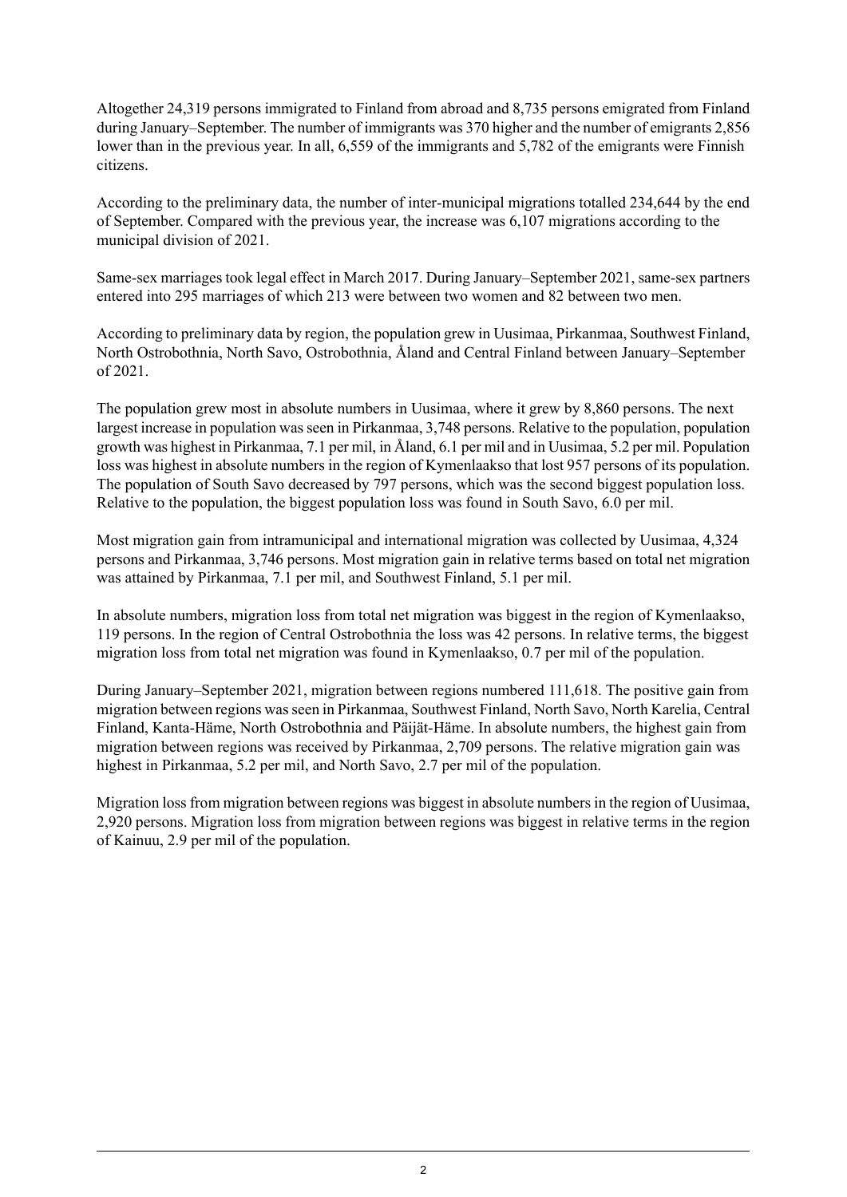Altogether 24,319 persons immigrated to Finland from abroad and 8,735 persons emigrated from Finland during January–September. The number of immigrants was 370 higher and the number of emigrants 2,856 lower than in the previous year. In all, 6,559 of the immigrants and 5,782 of the emigrants were Finnish citizens.

According to the preliminary data, the number of inter-municipal migrations totalled 234,644 by the end of September. Compared with the previous year, the increase was 6,107 migrations according to the municipal division of 2021.

Same-sex marriages took legal effect in March 2017. During January–September 2021, same-sex partners entered into 295 marriages of which 213 were between two women and 82 between two men.

According to preliminary data by region, the population grew in Uusimaa, Pirkanmaa, Southwest Finland, North Ostrobothnia, North Savo, Ostrobothnia, Åland and Central Finland between January–September of 2021.

The population grew most in absolute numbers in Uusimaa, where it grew by 8,860 persons. The next largest increase in population was seen in Pirkanmaa, 3,748 persons. Relative to the population, population growth was highest in Pirkanmaa, 7.1 per mil, in Åland, 6.1 per mil and in Uusimaa, 5.2 per mil. Population loss was highest in absolute numbers in the region of Kymenlaakso that lost 957 persons of its population. The population of South Savo decreased by 797 persons, which was the second biggest population loss. Relative to the population, the biggest population loss was found in South Savo, 6.0 per mil.

Most migration gain from intramunicipal and international migration was collected by Uusimaa, 4,324 persons and Pirkanmaa, 3,746 persons. Most migration gain in relative terms based on total net migration was attained by Pirkanmaa, 7.1 per mil, and Southwest Finland, 5.1 per mil.

In absolute numbers, migration loss from total net migration was biggest in the region of Kymenlaakso, 119 persons. In the region of Central Ostrobothnia the loss was 42 persons. In relative terms, the biggest migration loss from total net migration was found in Kymenlaakso, 0.7 per mil of the population.

During January–September 2021, migration between regions numbered 111,618. The positive gain from migration between regions wasseen in Pirkanmaa, Southwest Finland, North Savo, North Karelia, Central Finland, Kanta-Häme, North Ostrobothnia and Päijät-Häme. In absolute numbers, the highest gain from migration between regions was received by Pirkanmaa, 2,709 persons. The relative migration gain was highest in Pirkanmaa, 5.2 per mil, and North Savo, 2.7 per mil of the population.

Migration loss from migration between regions was biggest in absolute numbers in the region of Uusimaa, 2,920 persons. Migration loss from migration between regions was biggest in relative terms in the region of Kainuu, 2.9 per mil of the population.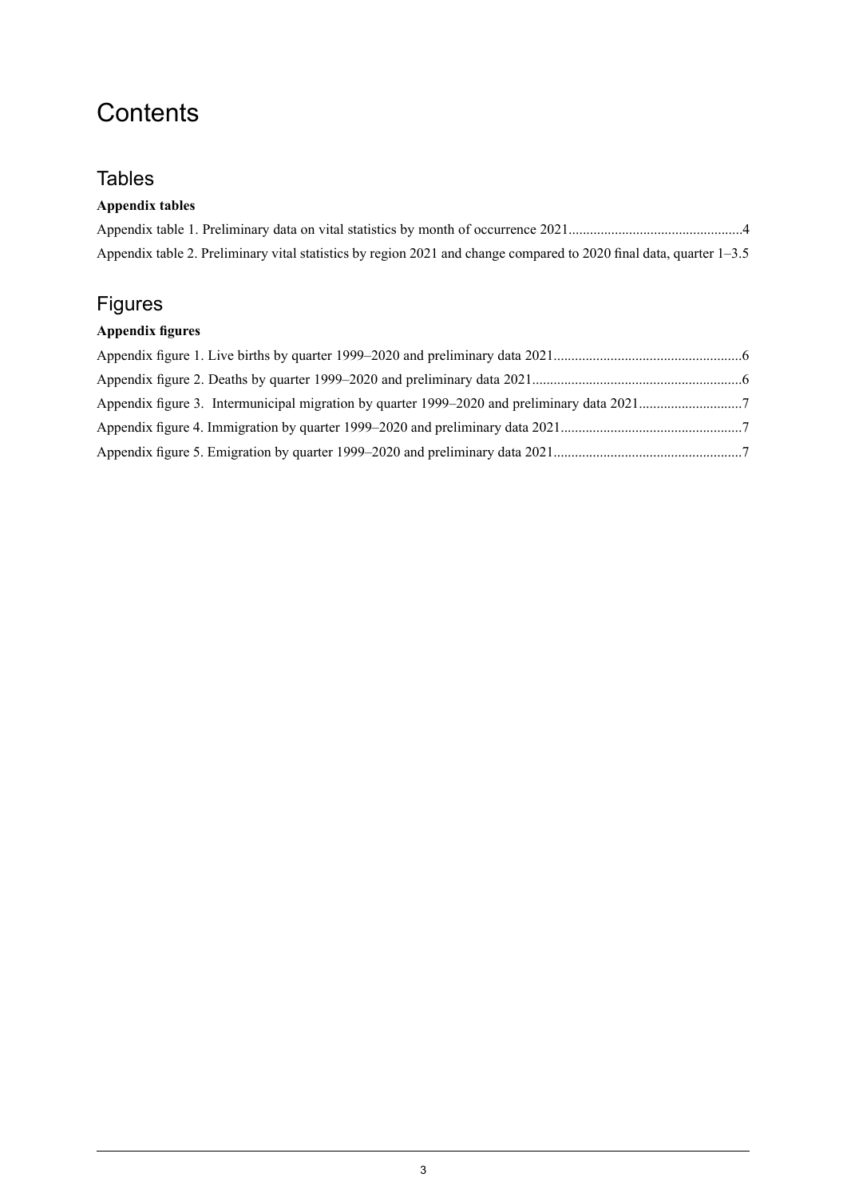# **Contents**

### **Tables**

### **Appendix tables**

| Appendix table 2. Preliminary vital statistics by region 2021 and change compared to 2020 final data, quarter 1–3.5 |  |
|---------------------------------------------------------------------------------------------------------------------|--|

### Figures

### **Appendix figures**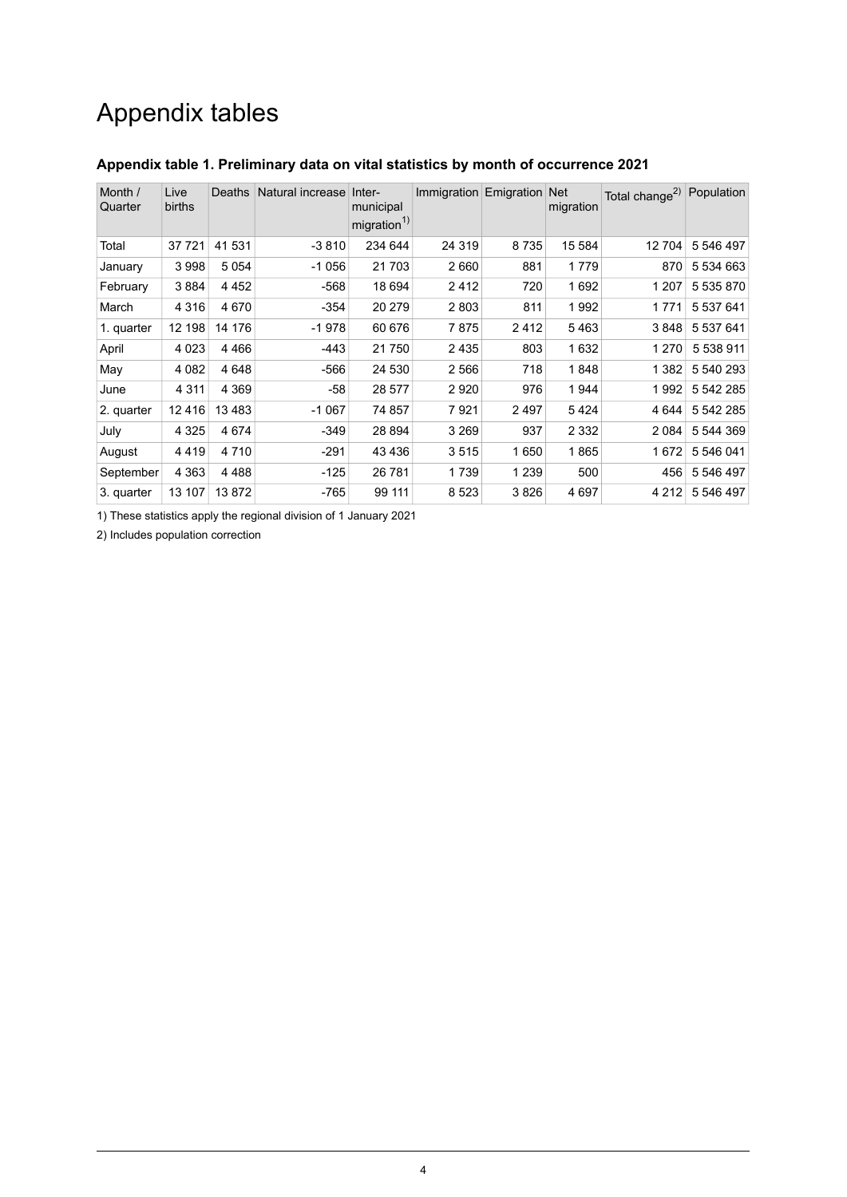# Appendix tables

| Month /<br>Quarter | Live<br>births | <b>Deaths</b> | Natural increase | Inter-<br>municipal<br>migration <sup>1)</sup> | Immigration Emigration Net |         | migration | Total change <sup>2)</sup> | Population |
|--------------------|----------------|---------------|------------------|------------------------------------------------|----------------------------|---------|-----------|----------------------------|------------|
| Total              | 37 7 21        | 41 531        | $-3810$          | 234 644                                        | 24 319                     | 8735    | 15 584    | 12704                      | 5 546 497  |
| January            | 3998           | 5 0 5 4       | $-1056$          | 21 703                                         | 2660                       | 881     | 1779      | 870                        | 5 534 663  |
| February           | 3884           | 4 4 5 2       | $-568$           | 18 694                                         | 2412                       | 720     | 1692      | 1 207                      | 5 535 870  |
| March              | 4 3 1 6        | 4670          | -354             | 20 279                                         | 2803                       | 811     | 1992      | 1771                       | 5 537 641  |
| 1. quarter         | 12 198         | 14 176        | $-1978$          | 60 676                                         | 7875                       | 2412    | 5463      | 3848                       | 5 537 641  |
| April              | 4 0 23         | 4466          | $-443$           | 21750                                          | 2435                       | 803     | 1632      | 1 2 7 0                    | 5 538 911  |
| May                | 4 0 8 2        | 4648          | $-566$           | 24 530                                         | 2566                       | 718     | 1848      | 1 3 8 2                    | 5 540 293  |
| June               | 4 3 1 1        | 4 3 6 9       | -58              | 28 577                                         | 2920                       | 976     | 1944      | 1992                       | 5 542 285  |
| 2. quarter         | 12416          | 13483         | $-1067$          | 74 857                                         | 7921                       | 2497    | 5424      | 4 6 4 4                    | 5 542 285  |
| July               | 4 3 2 5        | 4674          | -349             | 28 894                                         | 3 2 6 9                    | 937     | 2 3 3 2   | 2084                       | 5 544 369  |
| August             | 4419           | 4 7 1 0       | -291             | 43 4 36                                        | 3515                       | 1650    | 1865      | 1672                       | 5 546 041  |
| September          | 4 3 6 3        | 4488          | $-125$           | 26 781                                         | 1739                       | 1 2 3 9 | 500       | 456                        | 5 546 497  |
| 3. quarter         | 13 107         | 13872         | -765             | 99 111                                         | 8523                       | 3826    | 4 697     | 4 2 1 2                    | 5 546 497  |

### <span id="page-3-0"></span>**Appendix table 1. Preliminary data on vital statistics by month of occurrence 2021**

1) These statistics apply the regional division of 1 January 2021

2) Includes population correction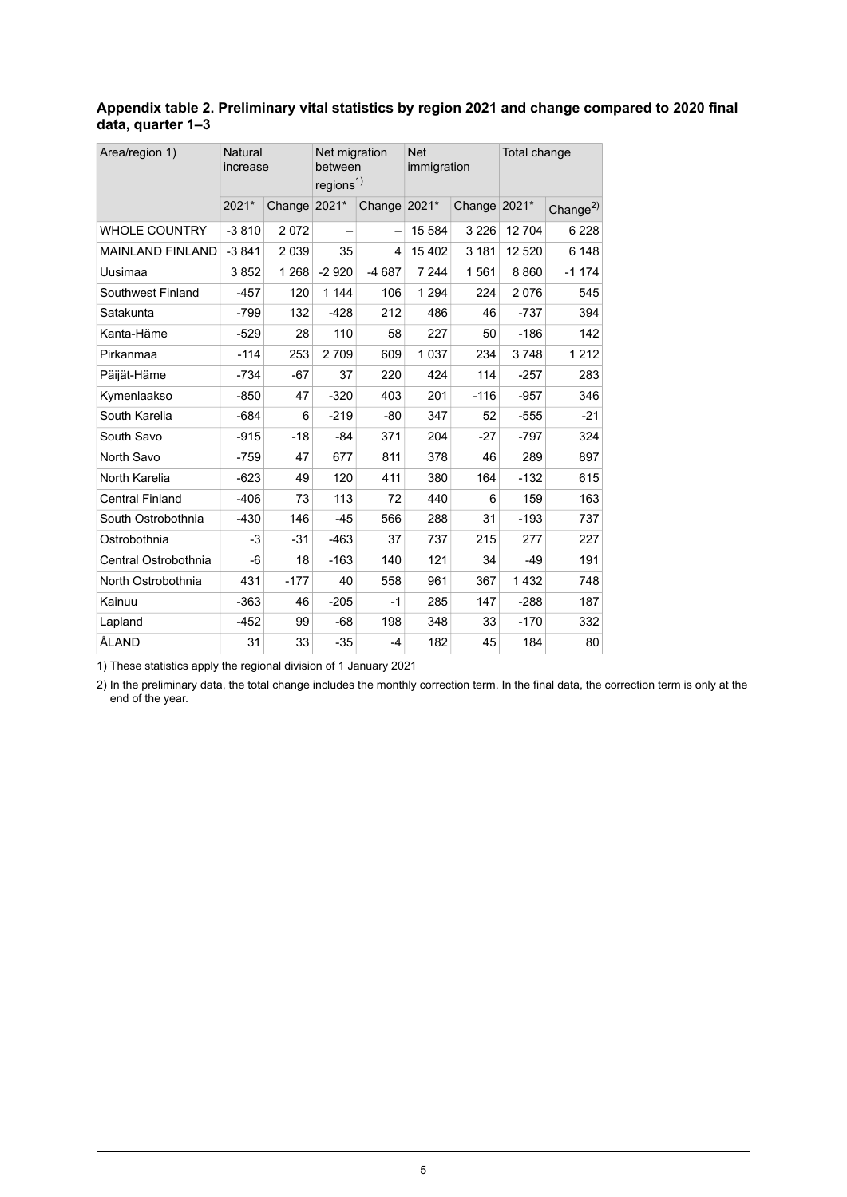#### <span id="page-4-0"></span>**Appendix table 2. Preliminary vital statistics by region 2021 and change compared to 2020 final data, quarter 1–3**

| Area/region 1)          | Natural<br>increase |         | Net migration<br>between<br>regions <sup>1)</sup> |         | <b>Net</b><br>immigration |              | Total change |                |
|-------------------------|---------------------|---------|---------------------------------------------------|---------|---------------------------|--------------|--------------|----------------|
|                         | 2021*               | Change  | 2021*                                             | Change  | 2021*                     | Change 2021* |              | Change $^{2)}$ |
| <b>WHOLE COUNTRY</b>    | $-3810$             | 2072    |                                                   |         | 15 5 84                   | 3 2 2 6      | 12 704       | 6 2 2 8        |
| <b>MAINLAND FINLAND</b> | $-3841$             | 2039    | 35                                                | 4       | 15 402                    | 3 1 8 1      | 12 5 20      | 6 1 4 8        |
| Uusimaa                 | 3852                | 1 2 6 8 | $-2920$                                           | $-4687$ | 7 2 4 4                   | 1561         | 8860         | $-1174$        |
| Southwest Finland       | $-457$              | 120     | 1 1 4 4                                           | 106     | 1 2 9 4                   | 224          | 2076         | 545            |
| Satakunta               | $-799$              | 132     | $-428$                                            | 212     | 486                       | 46           | $-737$       | 394            |
| Kanta-Häme              | $-529$              | 28      | 110                                               | 58      | 227                       | 50           | $-186$       | 142            |
| Pirkanmaa               | $-114$              | 253     | 2709                                              | 609     | 1037                      | 234          | 3748         | 1 2 1 2        |
| Päijät-Häme             | $-734$              | $-67$   | 37                                                | 220     | 424                       | 114          | $-257$       | 283            |
| Kymenlaakso             | $-850$              | 47      | $-320$                                            | 403     | 201                       | $-116$       | $-957$       | 346            |
| South Karelia           | $-684$              | 6       | $-219$                                            | $-80$   | 347                       | 52           | $-555$       | $-21$          |
| South Savo              | $-915$              | $-18$   | $-84$                                             | 371     | 204                       | $-27$        | $-797$       | 324            |
| North Savo              | $-759$              | 47      | 677                                               | 811     | 378                       | 46           | 289          | 897            |
| North Karelia           | $-623$              | 49      | 120                                               | 411     | 380                       | 164          | $-132$       | 615            |
| <b>Central Finland</b>  | $-406$              | 73      | 113                                               | 72      | 440                       | 6            | 159          | 163            |
| South Ostrobothnia      | $-430$              | 146     | $-45$                                             | 566     | 288                       | 31           | $-193$       | 737            |
| Ostrobothnia            | -3                  | $-31$   | $-463$                                            | 37      | 737                       | 215          | 277          | 227            |
| Central Ostrobothnia    | -6                  | 18      | $-163$                                            | 140     | 121                       | 34           | $-49$        | 191            |
| North Ostrobothnia      | 431                 | $-177$  | 40                                                | 558     | 961                       | 367          | 1432         | 748            |
| Kainuu                  | $-363$              | 46      | $-205$                                            | $-1$    | 285                       | 147          | $-288$       | 187            |
| Lapland                 | $-452$              | 99      | $-68$                                             | 198     | 348                       | 33           | $-170$       | 332            |
| ÅLAND                   | 31                  | 33      | $-35$                                             | $-4$    | 182                       | 45           | 184          | 80             |

1) These statistics apply the regional division of 1 January 2021

2) In the preliminary data, the total change includes the monthly correction term. In the final data, the correction term is only at the end of the year.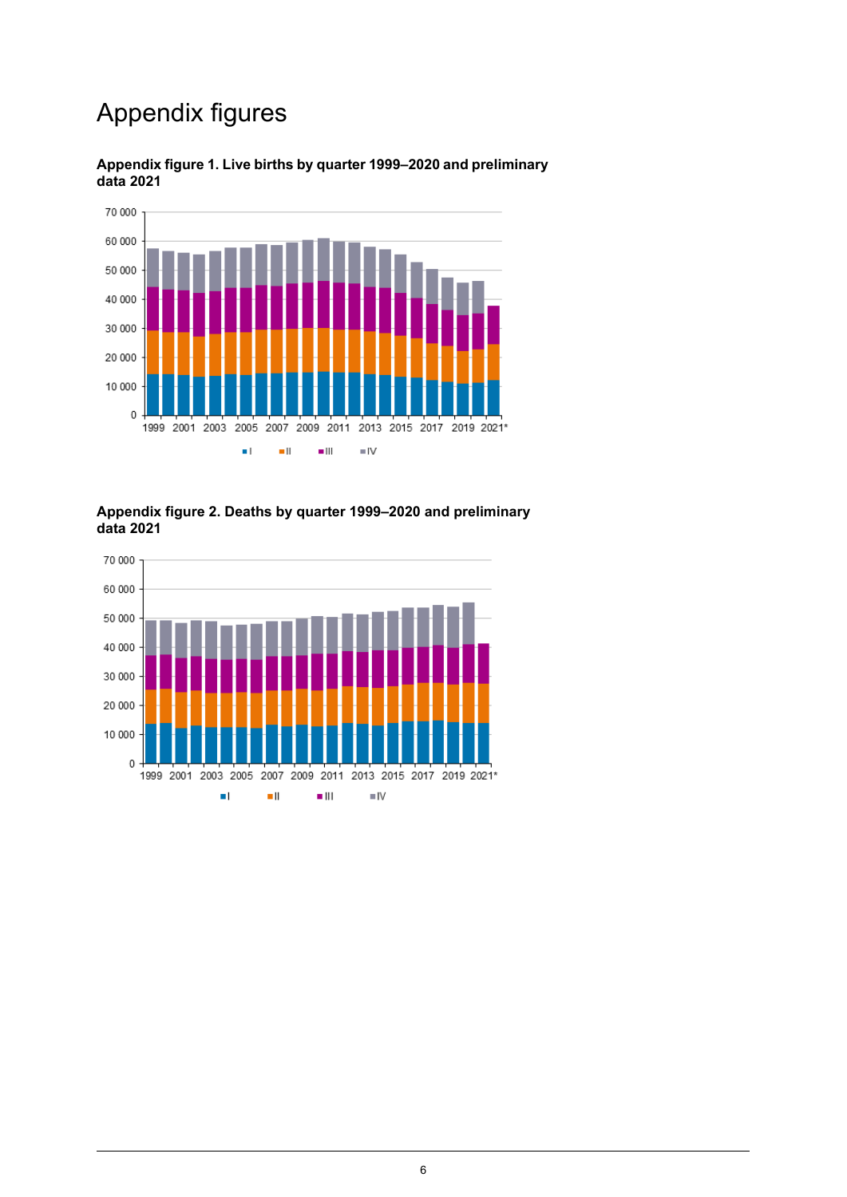# Appendix figures



### <span id="page-5-0"></span>**Appendix figure 1. Live births by quarter 1999–2020 and preliminary data 2021**

#### <span id="page-5-1"></span>**Appendix figure 2. Deaths by quarter 1999–2020 and preliminary data 2021**

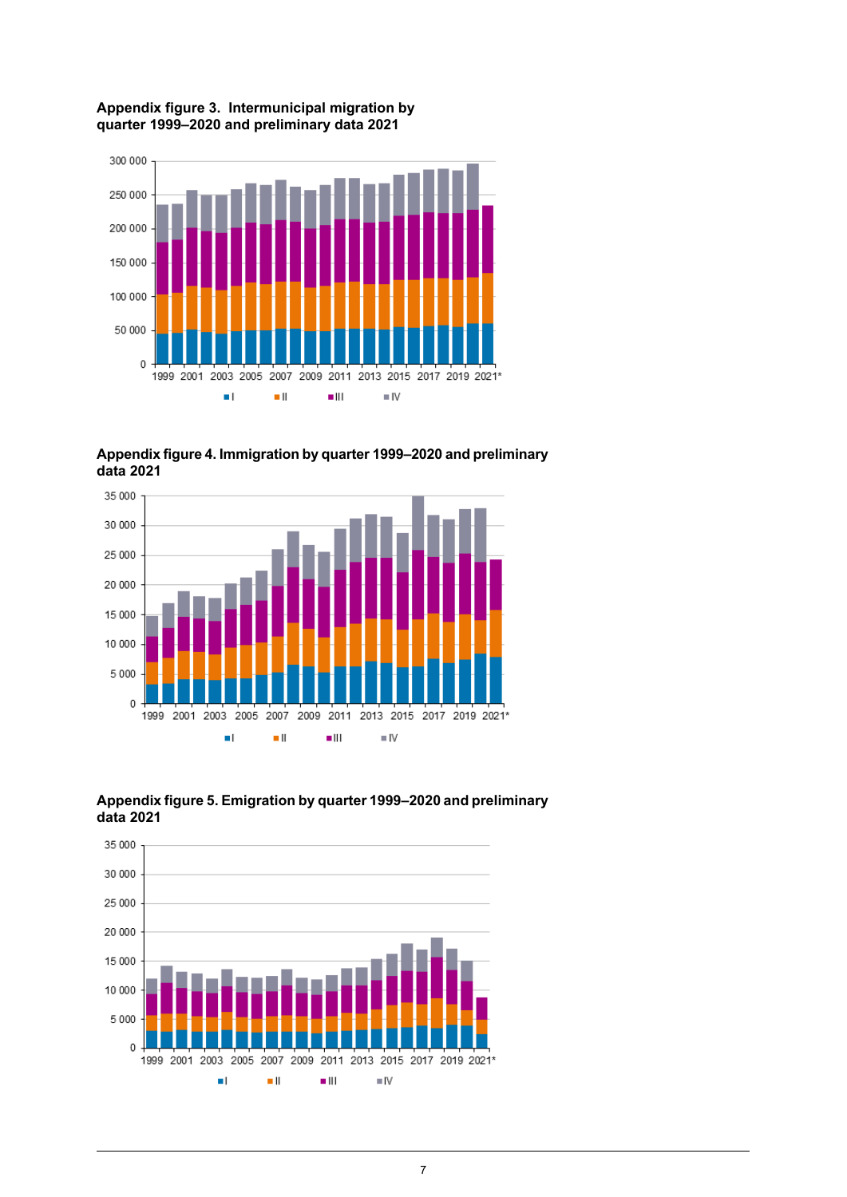#### <span id="page-6-0"></span>**Appendix figure 3. Intermunicipal migration by quarter 1999–2020 and preliminary data 2021**



<span id="page-6-1"></span>**Appendixfigure4. Immigration by quarter1999–2020and preliminary data 2021**





<span id="page-6-2"></span>**Appendixfigure5. Emigration by quarter1999–2020and preliminary data 2021**